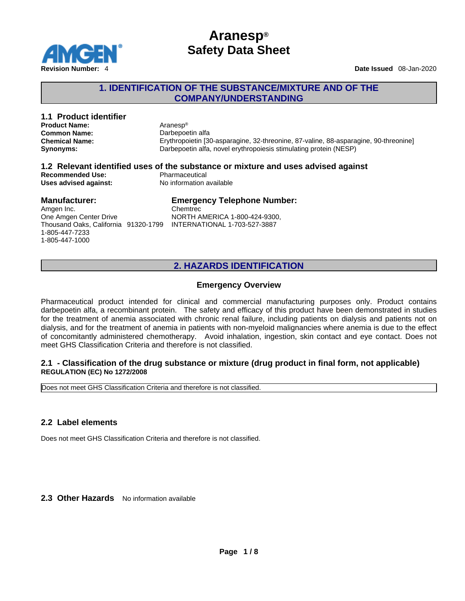

## **1. IDENTIFICATION OF THE SUBSTANCE/MIXTURE AND OF THE COMPANY/UNDERSTANDING**

| 1.1 Product identifier               |  |                                                                                      |  |  |
|--------------------------------------|--|--------------------------------------------------------------------------------------|--|--|
| <b>Product Name:</b>                 |  | Aranesp®                                                                             |  |  |
| <b>Common Name:</b>                  |  | Darbepoetin alfa                                                                     |  |  |
| <b>Chemical Name:</b>                |  | Erythropoietin [30-asparagine, 32-threonine, 87-valine, 88-asparagine, 90-threonine] |  |  |
| <b>Synonyms:</b>                     |  | Darbepoetin alfa, novel erythropoiesis stimulating protein (NESP)                    |  |  |
|                                      |  | 1.2 Relevant identified uses of the substance or mixture and uses advised against    |  |  |
| <b>Recommended Use:</b>              |  | Pharmaceutical                                                                       |  |  |
| Uses advised against:                |  | No information available                                                             |  |  |
| <b>Manufacturer:</b>                 |  | <b>Emergency Telephone Number:</b>                                                   |  |  |
| Amgen Inc.                           |  | Chemtrec                                                                             |  |  |
| One Amgen Center Drive               |  | NORTH AMERICA 1-800-424-9300,                                                        |  |  |
| Thousand Oaks, California 91320-1799 |  | INTERNATIONAL 1-703-527-3887                                                         |  |  |
| 1-805-447-7233                       |  |                                                                                      |  |  |
| 1-805-447-1000                       |  |                                                                                      |  |  |

# **2. HAZARDS IDENTIFICATION**

## **Emergency Overview**

Pharmaceutical product intended for clinical and commercial manufacturing purposes only. Product contains darbepoetin alfa, a recombinant protein. The safety and efficacy of this product have been demonstrated in studies for the treatment of anemia associated with chronic renal failure, including patients on dialysis and patients not on dialysis, and for the treatment of anemia in patients with non-myeloid malignancies where anemia is due to the effect of concomitantly administered chemotherapy. Avoid inhalation, ingestion, skin contact and eye contact. Does not meet GHS Classification Criteria and therefore is not classified.

### **2.1 - Classification of the drug substance or mixture (drug product in final form, not applicable) REGULATION (EC) No 1272/2008**

Does not meet GHS Classification Criteria and therefore is not classified.

## **2.2 Label elements**

Does not meet GHS Classification Criteria and therefore is not classified.

2.3 Other Hazards No information available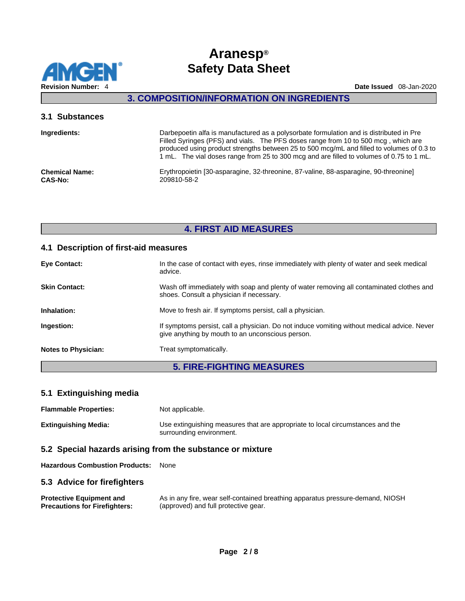

## **3. COMPOSITION/INFORMATION ON INGREDIENTS**

### **3.1 Substances**

| Ingredients:          | Darbepoetin alfa is manufactured as a polysorbate formulation and is distributed in Pre<br>Filled Syringes (PFS) and vials. The PFS doses range from 10 to 500 mcg, which are<br>produced using product strengths between 25 to 500 mcg/mL and filled to volumes of 0.3 to<br>1 mL. The vial doses range from 25 to 300 mcg and are filled to volumes of 0.75 to 1 mL. |
|-----------------------|------------------------------------------------------------------------------------------------------------------------------------------------------------------------------------------------------------------------------------------------------------------------------------------------------------------------------------------------------------------------|
| <b>Chemical Name:</b> | Erythropoietin [30-asparagine, 32-threonine, 87-valine, 88-asparagine, 90-threonine]                                                                                                                                                                                                                                                                                   |
| <b>CAS-No:</b>        | 209810-58-2                                                                                                                                                                                                                                                                                                                                                            |

# **4. FIRST AID MEASURES**

### **4.1 Description of first-aid measures**

| <b>Eye Contact:</b>        | In the case of contact with eyes, rinse immediately with plenty of water and seek medical<br>advice.                                            |
|----------------------------|-------------------------------------------------------------------------------------------------------------------------------------------------|
| <b>Skin Contact:</b>       | Wash off immediately with soap and plenty of water removing all contaminated clothes and<br>shoes. Consult a physician if necessary.            |
| Inhalation:                | Move to fresh air. If symptoms persist, call a physician.                                                                                       |
| Ingestion:                 | If symptoms persist, call a physician. Do not induce vomiting without medical advice. Never<br>give anything by mouth to an unconscious person. |
| <b>Notes to Physician:</b> | Treat symptomatically.                                                                                                                          |

## **5. FIRE-FIGHTING MEASURES**

## **5.1 Extinguishing media**

**Flammable Properties:** Not applicable. **Extinguishing Media:** Use extinguishing measures that are appropriate to local circumstances and the surrounding environment.

### **5.2 Special hazards arising from the substance or mixture**

**Hazardous Combustion Products:** None

### **5.3 Advice for firefighters**

**Protective Equipment and Precautions for Firefighters:** As in any fire, wear self-contained breathing apparatus pressure-demand, NIOSH (approved) and full protective gear.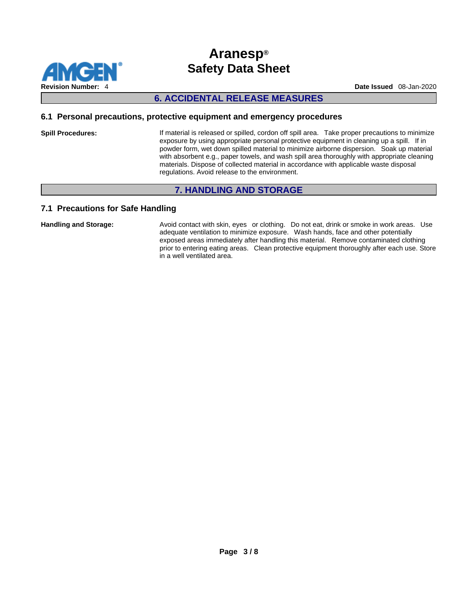

# **6. ACCIDENTAL RELEASE MEASURES**

### **6.1 Personal precautions, protective equipment and emergency procedures**

**Spill Procedures:** If material is released or spilled, cordon off spill area. Take proper precautions to minimize exposure by using appropriate personal protective equipment in cleaning up a spill. If in powder form, wet down spilled material to minimize airborne dispersion. Soak up material with absorbent e.g., paper towels, and wash spill area thoroughly with appropriate cleaning materials. Dispose of collected material in accordance with applicable waste disposal regulations. Avoid release to the environment.

## **7. HANDLING AND STORAGE**

## **7.1 Precautions for Safe Handling**

Handling and Storage: **Avoid contact with skin, eyes** or clothing. Do not eat, drink or smoke in work areas. Use adequate ventilation to minimize exposure. Wash hands, face and other potentially exposed areas immediately after handling this material. Remove contaminated clothing prior to entering eating areas. Clean protective equipment thoroughly after each use. Store in a well ventilated area.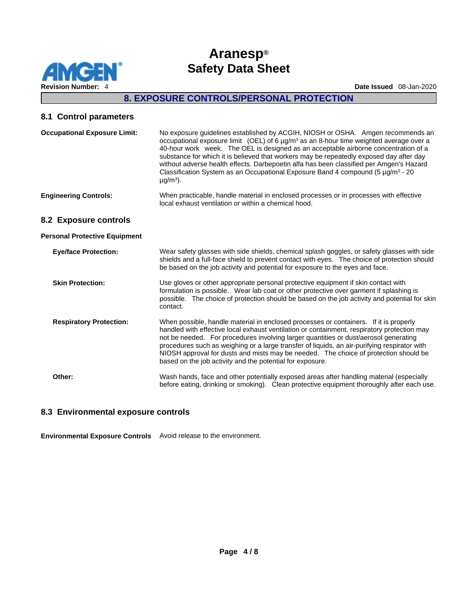

## **8. EXPOSURE CONTROLS/PERSONAL PROTECTION**

### **8.1 Control parameters**

| <b>Occupational Exposure Limit:</b>  | No exposure guidelines established by ACGIH, NIOSH or OSHA. Amgen recommends an<br>occupational exposure limit (OEL) of 6 $\mu$ g/m <sup>3</sup> as an 8-hour time weighted average over a<br>40-hour work week. The OEL is designed as an acceptable airborne concentration of a<br>substance for which it is believed that workers may be repeatedly exposed day after day<br>without adverse health effects. Darbepoetin alfa has been classified per Amgen's Hazard<br>Classification System as an Occupational Exposure Band 4 compound (5 $\mu$ g/m <sup>3</sup> - 20<br>$\mu$ g/m <sup>3</sup> ). |
|--------------------------------------|----------------------------------------------------------------------------------------------------------------------------------------------------------------------------------------------------------------------------------------------------------------------------------------------------------------------------------------------------------------------------------------------------------------------------------------------------------------------------------------------------------------------------------------------------------------------------------------------------------|
| <b>Engineering Controls:</b>         | When practicable, handle material in enclosed processes or in processes with effective<br>local exhaust ventilation or within a chemical hood.                                                                                                                                                                                                                                                                                                                                                                                                                                                           |
| 8.2 Exposure controls                |                                                                                                                                                                                                                                                                                                                                                                                                                                                                                                                                                                                                          |
| <b>Personal Protective Equipment</b> |                                                                                                                                                                                                                                                                                                                                                                                                                                                                                                                                                                                                          |
| <b>Eye/face Protection:</b>          | Wear safety glasses with side shields, chemical splash goggles, or safety glasses with side<br>shields and a full-face shield to prevent contact with eyes. The choice of protection should<br>be based on the job activity and potential for exposure to the eyes and face.                                                                                                                                                                                                                                                                                                                             |
| <b>Skin Protection:</b>              | Use gloves or other appropriate personal protective equipment if skin contact with<br>formulation is possible. Wear lab coat or other protective over garment if splashing is<br>possible. The choice of protection should be based on the job activity and potential for skin<br>contact.                                                                                                                                                                                                                                                                                                               |
| <b>Respiratory Protection:</b>       | When possible, handle material in enclosed processes or containers. If it is properly<br>handled with effective local exhaust ventilation or containment, respiratory protection may<br>not be needed. For procedures involving larger quantities or dust/aerosol generating<br>procedures such as weighing or a large transfer of liquids, an air-purifying respirator with<br>NIOSH approval for dusts and mists may be needed. The choice of protection should be<br>based on the job activity and the potential for exposure.                                                                        |

**Other:** Wash hands, face and other potentially exposed areas after handling material (especially before eating, drinking or smoking). Clean protective equipment thoroughly after each use.

## **8.3 Environmental exposure controls**

**Environmental Exposure Controls** Avoid release to the environment.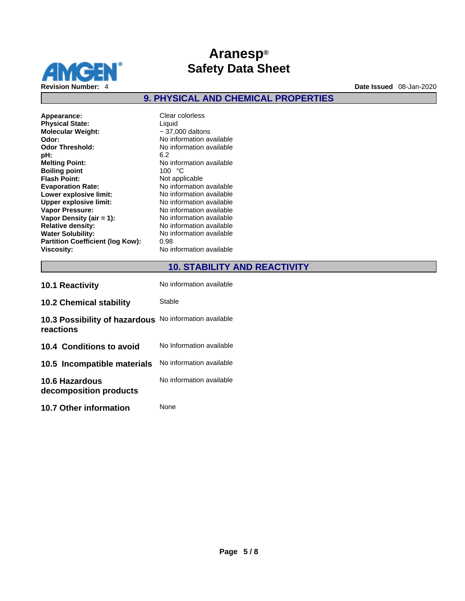

**9. PHYSICAL AND CHEMICAL PROPERTIES** 

| Clear colorless<br>Liquid<br>$\sim$ 37,000 daltons<br>No information available<br>No information available<br>6.2<br>No information available<br>100 °C<br>Not applicable<br>No information available<br>No information available<br>No information available<br>No information available<br>No information available<br>No information available |
|---------------------------------------------------------------------------------------------------------------------------------------------------------------------------------------------------------------------------------------------------------------------------------------------------------------------------------------------------|
| No information available<br>0.98<br>No information available                                                                                                                                                                                                                                                                                      |
|                                                                                                                                                                                                                                                                                                                                                   |

## **10. STABILITY AND REACTIVITY**

| <b>10.1 Reactivity</b>                     | No information available |
|--------------------------------------------|--------------------------|
| <b>10.2 Chemical stability</b>             | Stable                   |
| 10.3 Possibility of hazardous<br>reactions | No information available |
| 10.4 Conditions to avoid                   | No Information available |
| 10.5 Incompatible materials                | No information available |
| 10.6 Hazardous<br>decomposition products   | No information available |
| <b>10.7 Other information</b>              | None                     |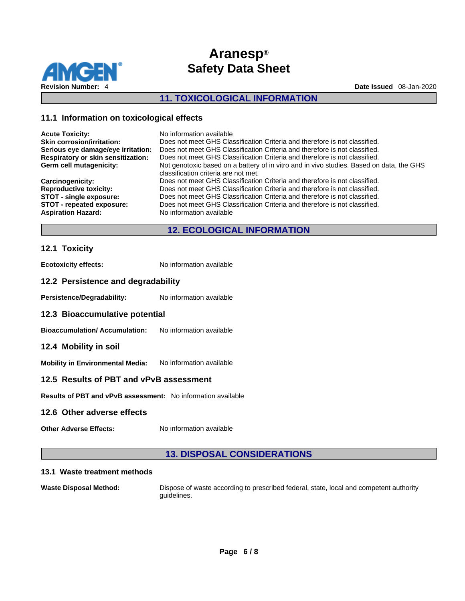

## **11. TOXICOLOGICAL INFORMATION**

### **11.1 Information on toxicological effects**

| <b>Acute Toxicity:</b>                    | No information available                                                                 |
|-------------------------------------------|------------------------------------------------------------------------------------------|
| <b>Skin corrosion/irritation:</b>         | Does not meet GHS Classification Criteria and therefore is not classified.               |
| Serious eye damage/eye irritation:        | Does not meet GHS Classification Criteria and therefore is not classified.               |
| <b>Respiratory or skin sensitization:</b> | Does not meet GHS Classification Criteria and therefore is not classified.               |
| Germ cell mutagenicity:                   | Not genotoxic based on a battery of in vitro and in vivo studies. Based on data, the GHS |
|                                           | classification criteria are not met.                                                     |
| <b>Carcinogenicity:</b>                   | Does not meet GHS Classification Criteria and therefore is not classified.               |
| <b>Reproductive toxicity:</b>             | Does not meet GHS Classification Criteria and therefore is not classified.               |
| <b>STOT - single exposure:</b>            | Does not meet GHS Classification Criteria and therefore is not classified.               |
| STOT - repeated exposure:                 | Does not meet GHS Classification Criteria and therefore is not classified.               |
| <b>Aspiration Hazard:</b>                 | No information available                                                                 |
|                                           |                                                                                          |

## **12. ECOLOGICAL INFORMATION**

### **12.1 Toxicity**

**Ecotoxicity effects:** No information available

### **12.2 Persistence and degradability**

Persistence/Degradability: No information available

#### **12.3 Bioaccumulative potential**

**Bioaccumulation/ Accumulation:** No information available

#### **12.4 Mobility in soil**

**Mobility in Environmental Media:** No information available

### **12.5 Results of PBT and vPvB assessment**

**Results of PBT and vPvB assessment:** No information available

### **12.6 Other adverse effects**

**Other Adverse Effects:** No information available

## **13. DISPOSAL CONSIDERATIONS**

#### **13.1 Waste treatment methods**

**Waste Disposal Method:** Dispose of waste according to prescribed federal, state, local and competent authority guidelines.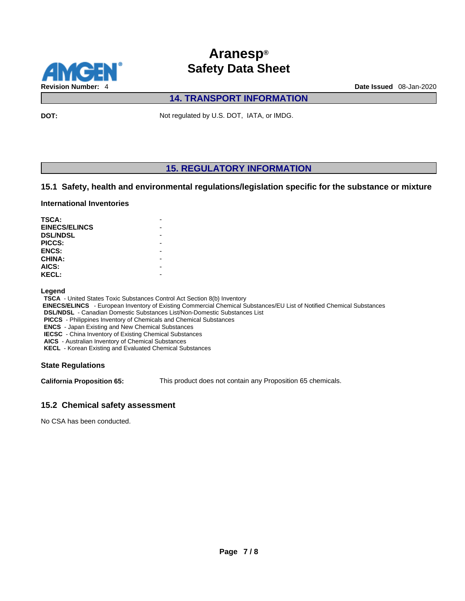

# **14. TRANSPORT INFORMATION**

**DOT:** Not regulated by U.S. DOT, IATA, or IMDG.

# **15. REGULATORY INFORMATION**

### **15.1 Safety, health and environmental regulations/legislation specific for the substance or mixture**

#### **International Inventories**

| <b>TSCA:</b>         |  |
|----------------------|--|
| <b>EINECS/ELINCS</b> |  |
| <b>DSL/NDSL</b>      |  |
| PICCS:               |  |
| <b>ENCS:</b>         |  |
| <b>CHINA:</b>        |  |
| AICS:                |  |
| <b>KECL:</b>         |  |

#### **Legend**

**TSCA** - United States Toxic Substances Control Act Section 8(b) Inventory

 **EINECS/ELINCS** - European Inventory of Existing Commercial Chemical Substances/EU List of Notified Chemical Substances

**DSL/NDSL** - Canadian Domestic Substances List/Non-Domestic Substances List

**PICCS** - Philippines Inventory of Chemicals and Chemical Substances

**ENCS** - Japan Existing and New Chemical Substances

**IECSC** - China Inventory of Existing Chemical Substances

**AICS** - Australian Inventory of Chemical Substances

**KECL** - Korean Existing and Evaluated Chemical Substances

### **State Regulations**

**California Proposition 65:** This product does not contain any Proposition 65 chemicals.

### **15.2 Chemical safety assessment**

No CSA has been conducted.